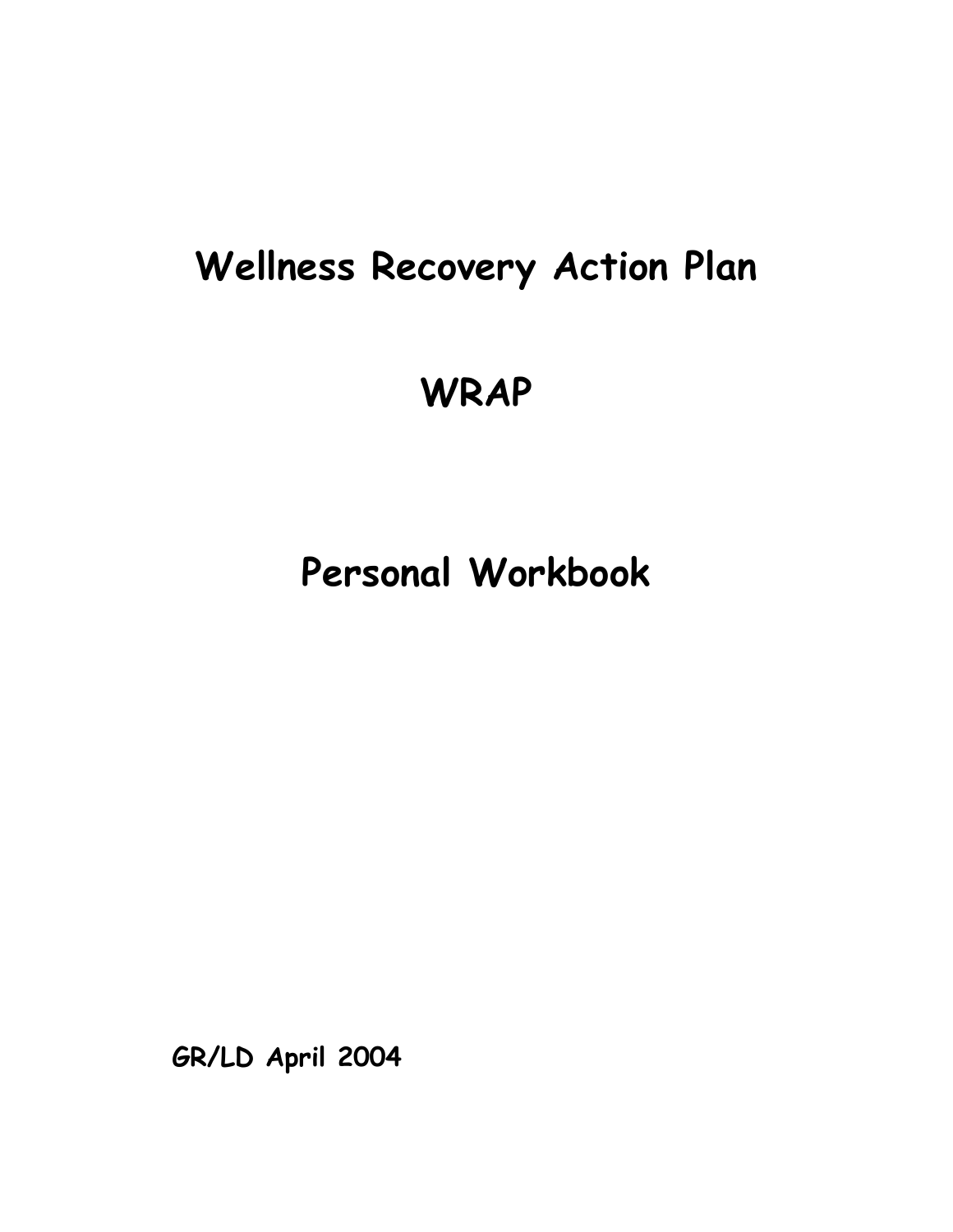# **Wellness Recovery Action Plan**

# **WRAP**

# **Personal Workbook**

**GR/LD April 2004**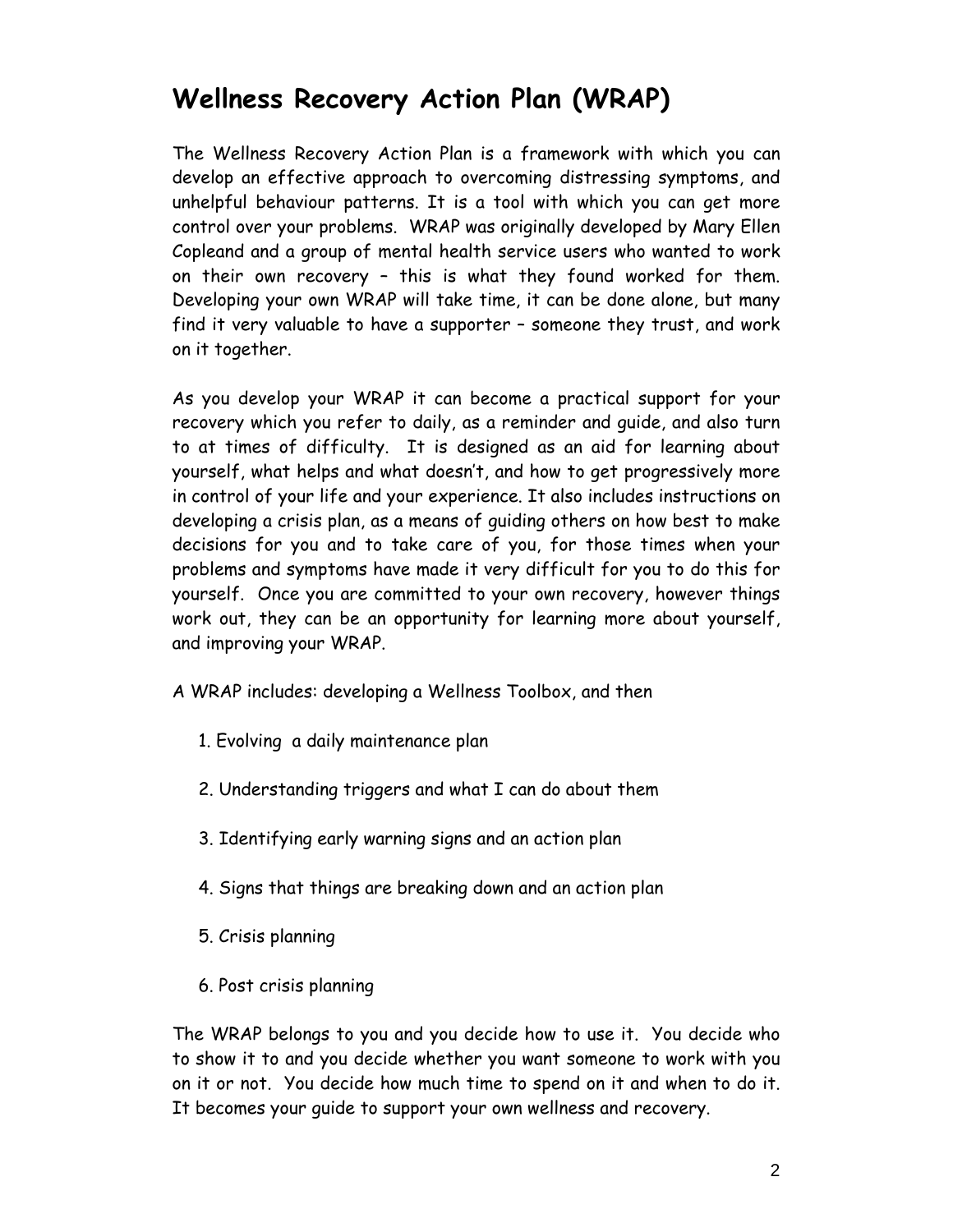# **Wellness Recovery Action Plan (WRAP)**

The Wellness Recovery Action Plan is a framework with which you can develop an effective approach to overcoming distressing symptoms, and unhelpful behaviour patterns. It is a tool with which you can get more control over your problems. WRAP was originally developed by Mary Ellen Copleand and a group of mental health service users who wanted to work on their own recovery – this is what they found worked for them. Developing your own WRAP will take time, it can be done alone, but many find it very valuable to have a supporter – someone they trust, and work on it together.

As you develop your WRAP it can become a practical support for your recovery which you refer to daily, as a reminder and guide, and also turn to at times of difficulty. It is designed as an aid for learning about yourself, what helps and what doesn't, and how to get progressively more in control of your life and your experience. It also includes instructions on developing a crisis plan, as a means of guiding others on how best to make decisions for you and to take care of you, for those times when your problems and symptoms have made it very difficult for you to do this for yourself. Once you are committed to your own recovery, however things work out, they can be an opportunity for learning more about yourself, and improving your WRAP.

A WRAP includes: developing a Wellness Toolbox, and then

- 1. Evolving a daily maintenance plan
- 2. Understanding triggers and what I can do about them
- 3. Identifying early warning signs and an action plan
- 4. Signs that things are breaking down and an action plan
- 5. Crisis planning
- 6. Post crisis planning

The WRAP belongs to you and you decide how to use it. You decide who to show it to and you decide whether you want someone to work with you on it or not. You decide how much time to spend on it and when to do it. It becomes your guide to support your own wellness and recovery.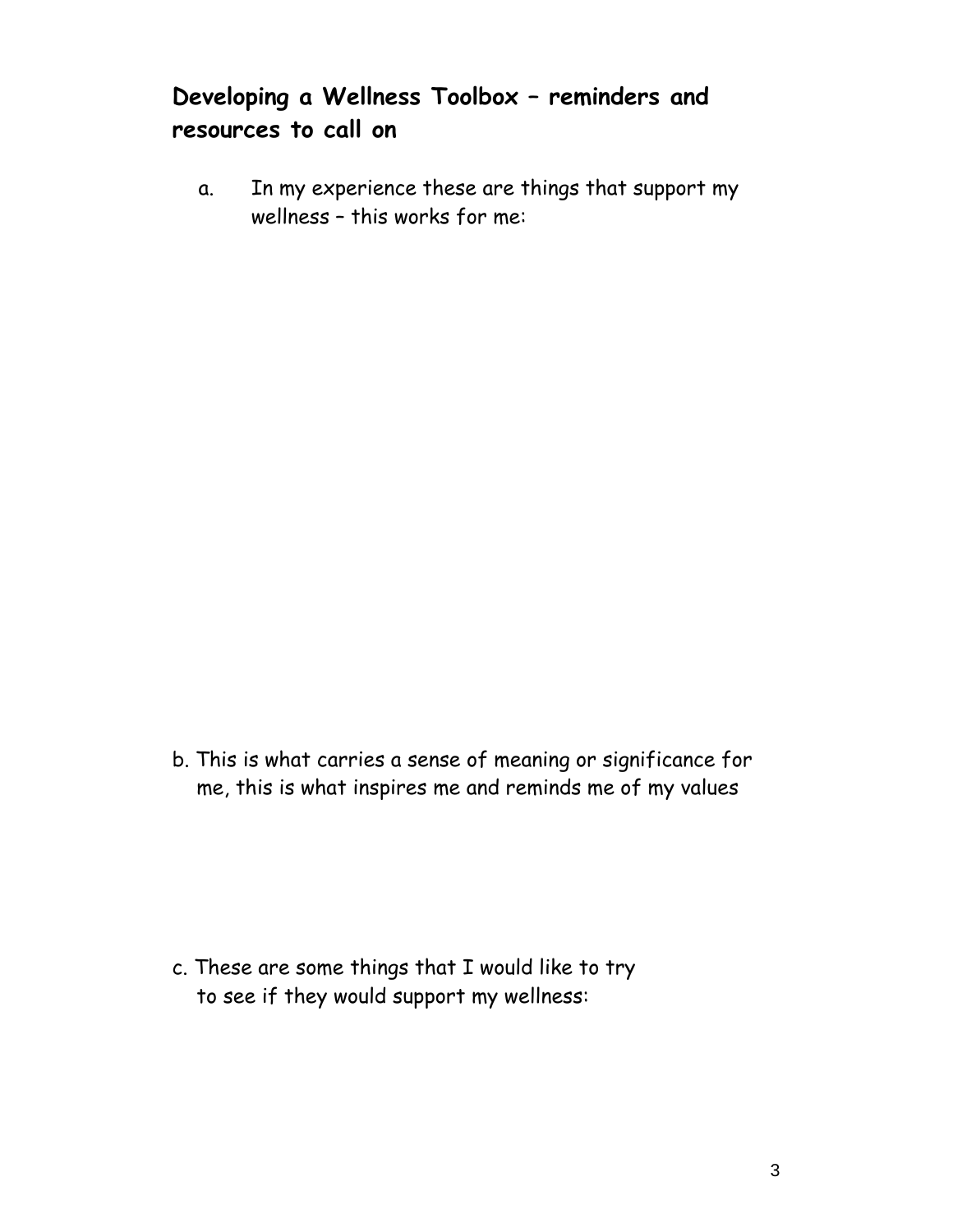## **Developing a Wellness Toolbox – reminders and resources to call on**

a. In my experience these are things that support my wellness – this works for me:

b. This is what carries a sense of meaning or significance for me, this is what inspires me and reminds me of my values

c. These are some things that I would like to try to see if they would support my wellness: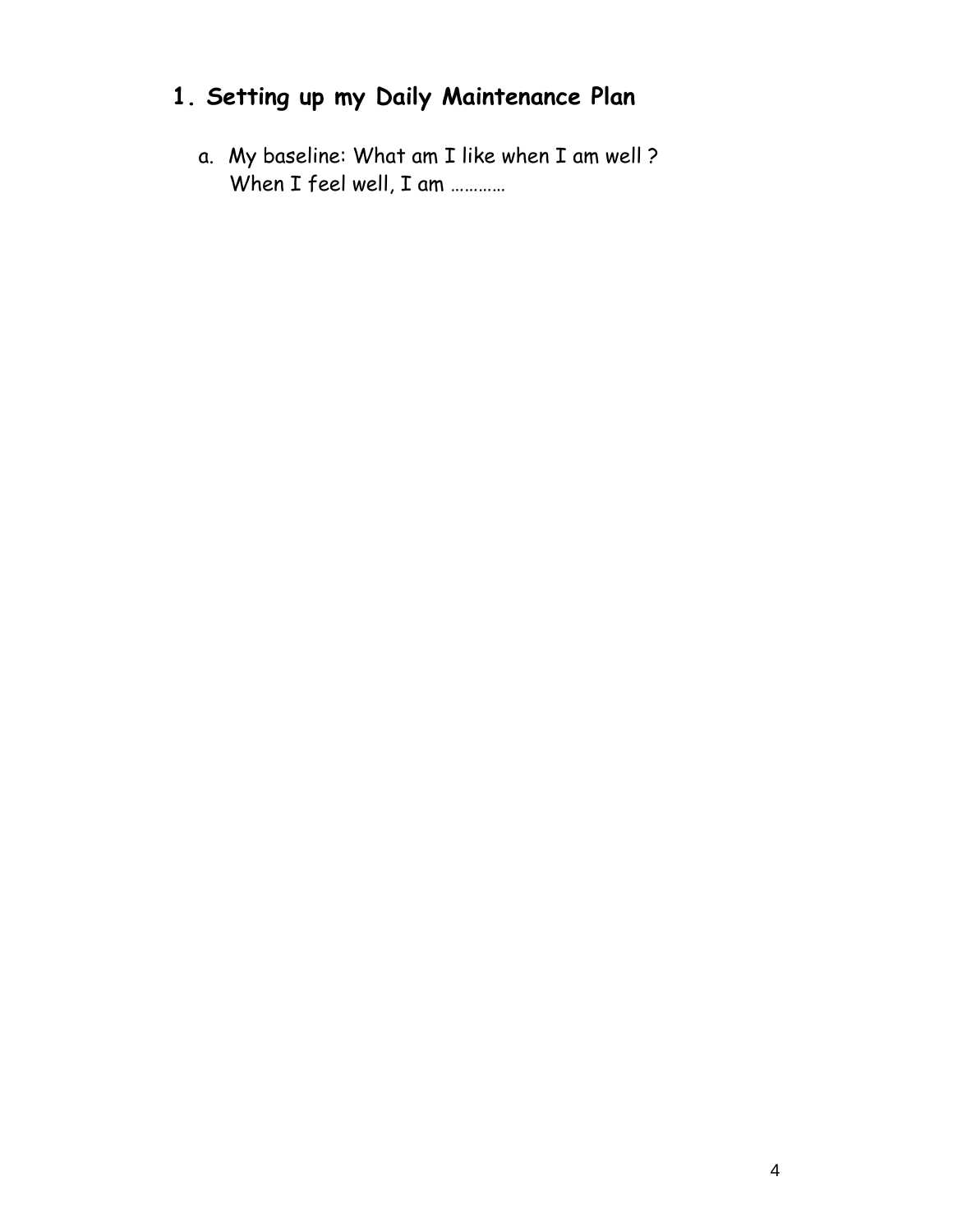# **1. Setting up my Daily Maintenance Plan**

a. My baseline: What am I like when I am well ? When I feel well, I am …………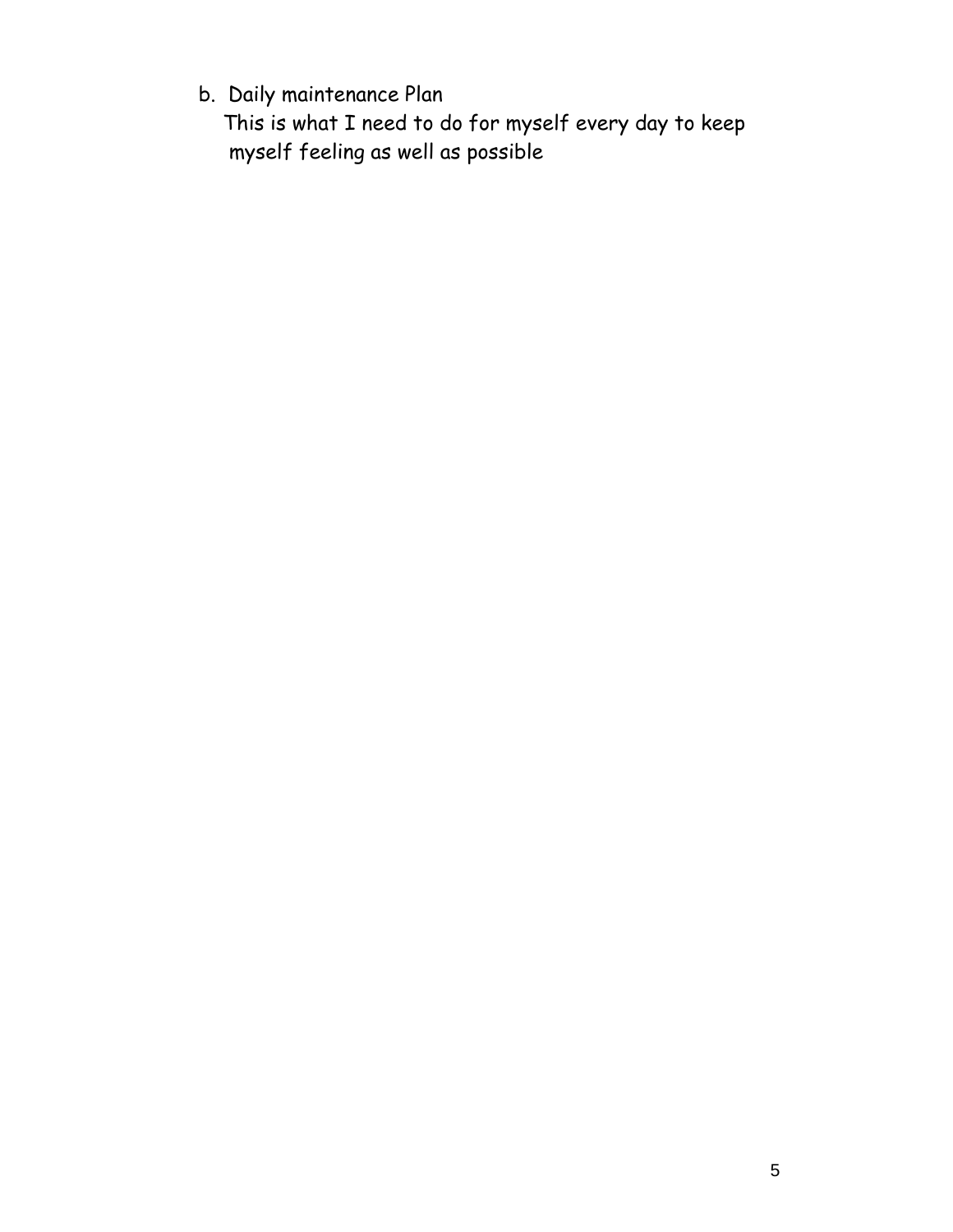b. Daily maintenance Plan

 This is what I need to do for myself every day to keep myself feeling as well as possible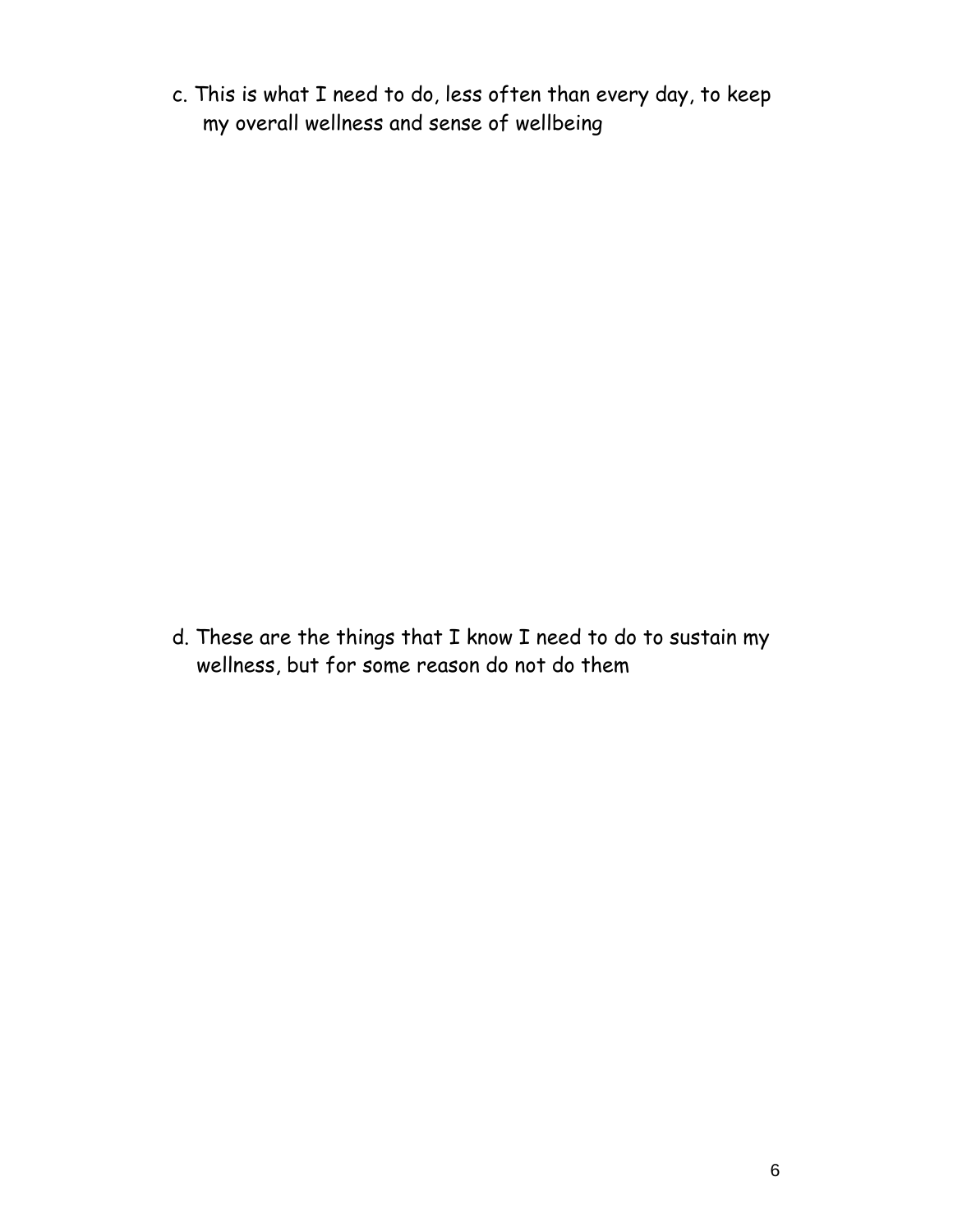c. This is what I need to do, less often than every day, to keep my overall wellness and sense of wellbeing

d. These are the things that I know I need to do to sustain my wellness, but for some reason do not do them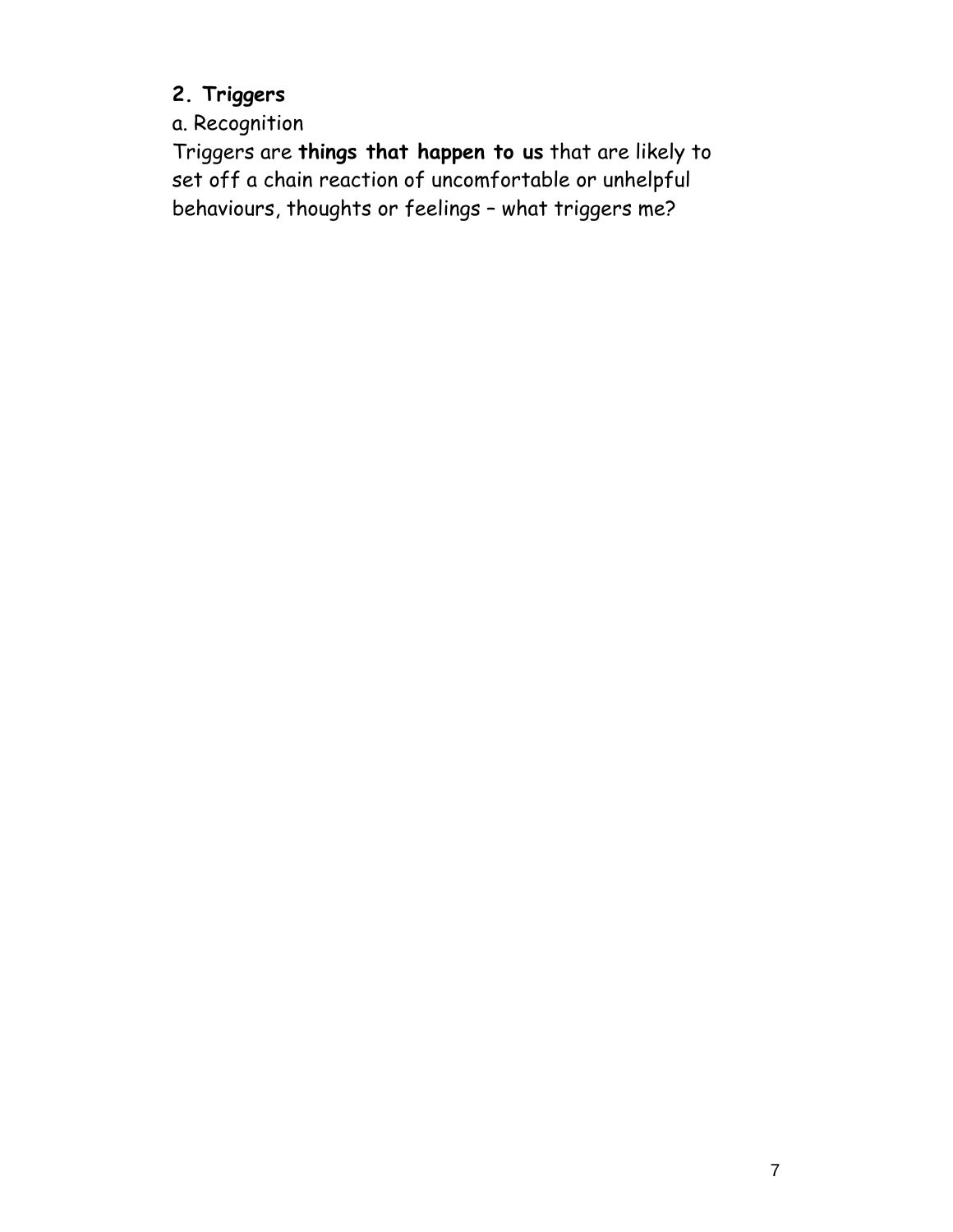#### **2. Triggers**

a. Recognition

Triggers are **things that happen to us** that are likely to set off a chain reaction of uncomfortable or unhelpful behaviours, thoughts or feelings – what triggers me?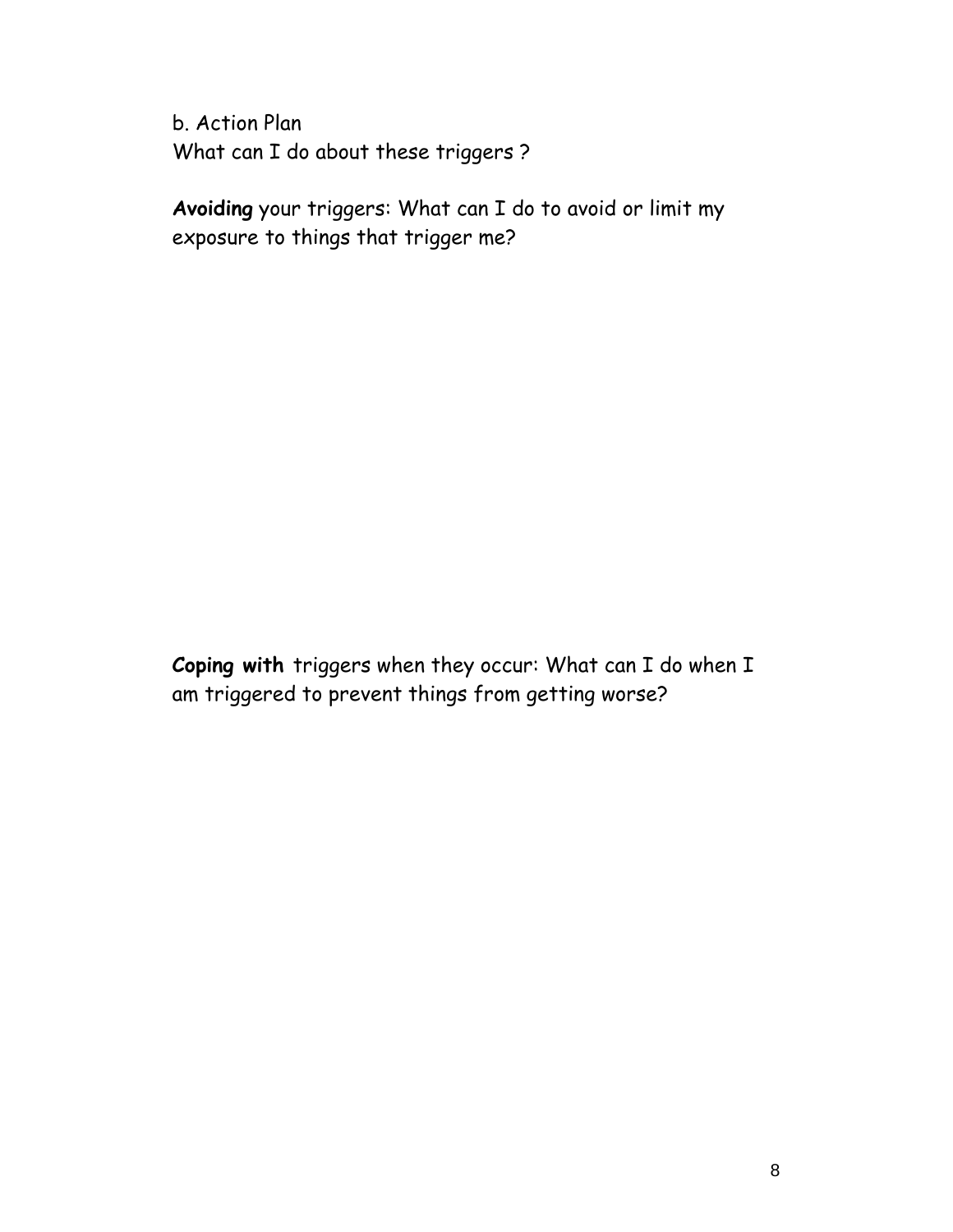b. Action Plan What can I do about these triggers ?

**Avoiding** your triggers: What can I do to avoid or limit my exposure to things that trigger me?

**Coping with** triggers when they occur: What can I do when I am triggered to prevent things from getting worse?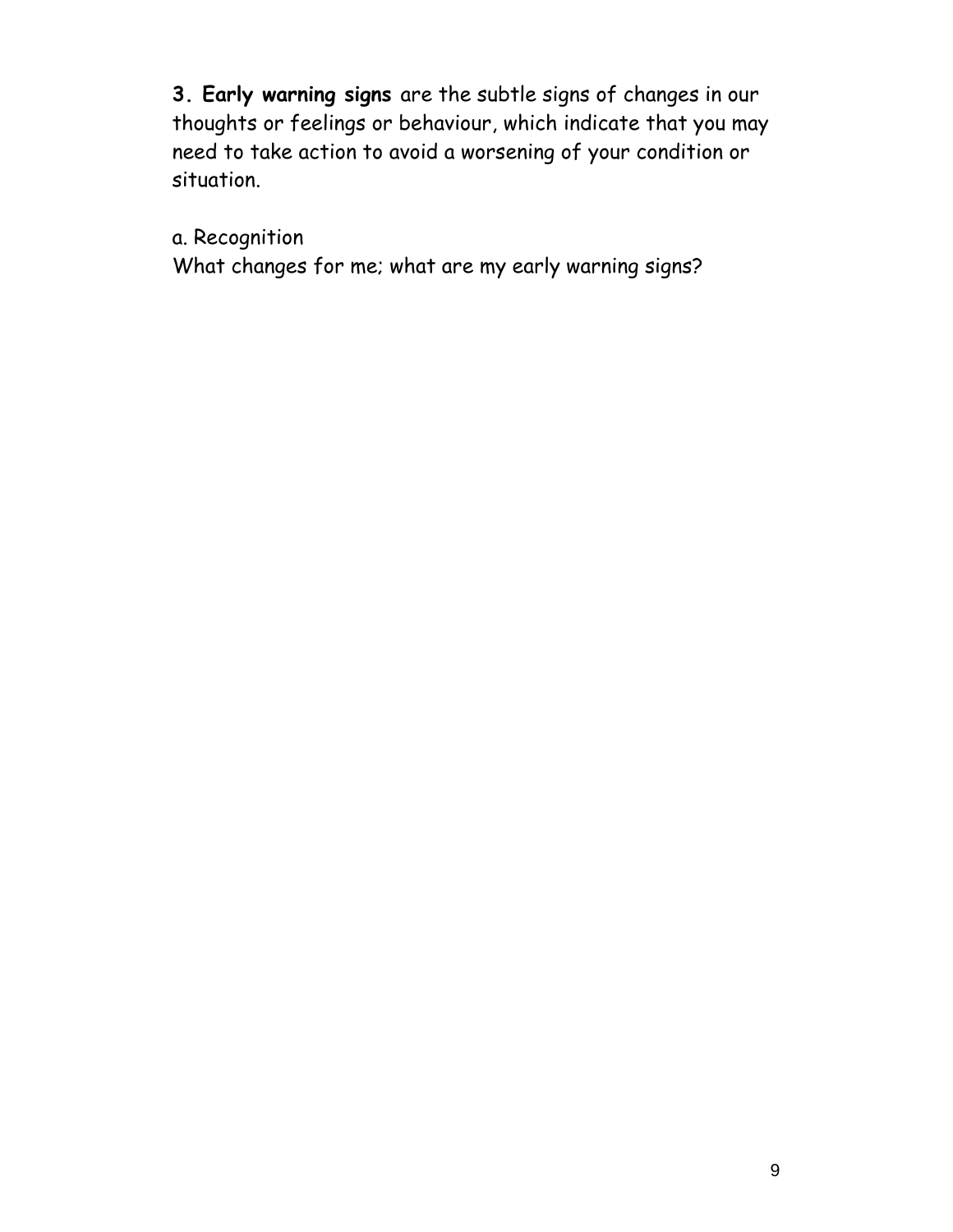**3. Early warning signs** are the subtle signs of changes in our thoughts or feelings or behaviour, which indicate that you may need to take action to avoid a worsening of your condition or situation.

a. Recognition

What changes for me; what are my early warning signs?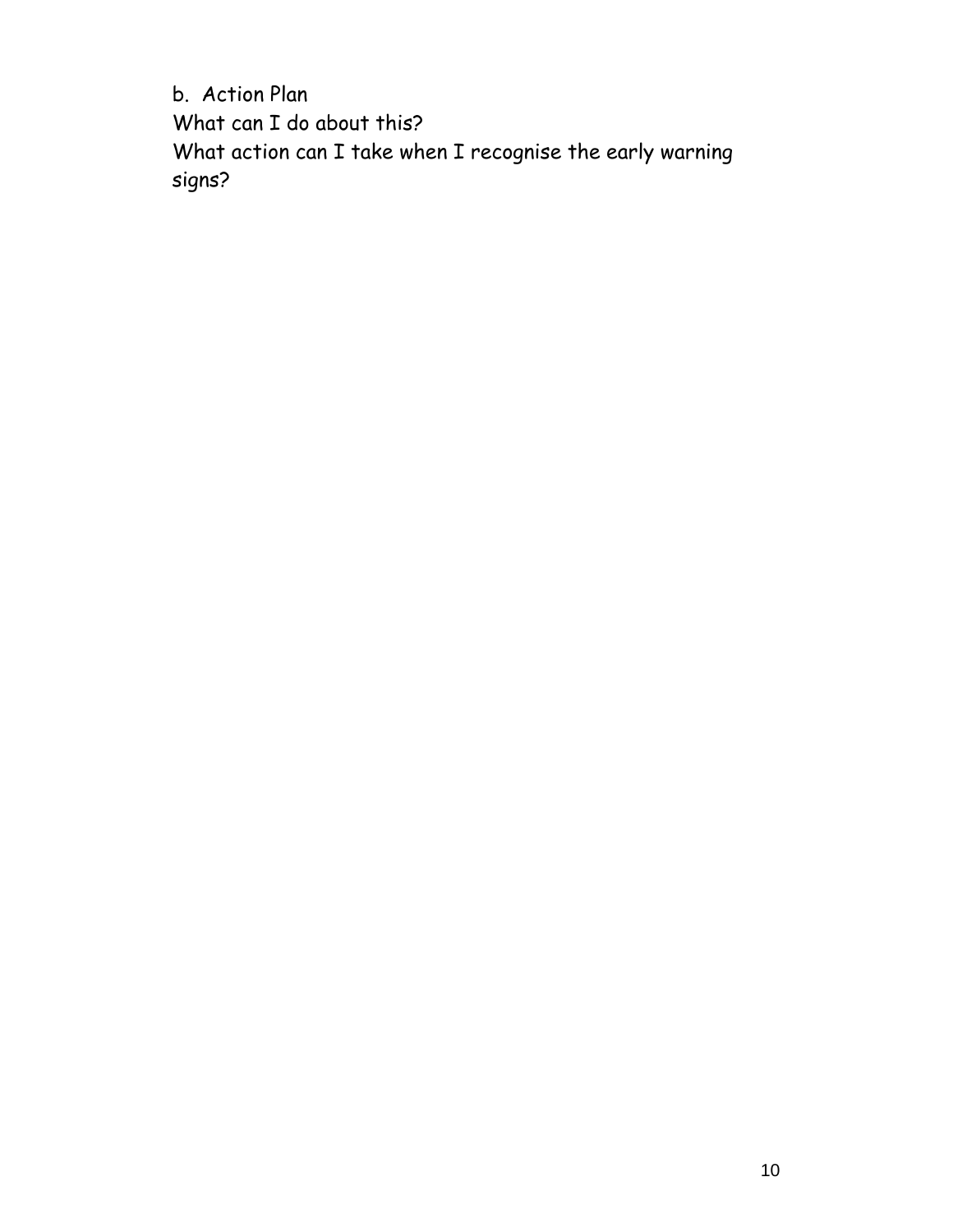b. Action Plan What can I do about this? What action can I take when I recognise the early warning signs?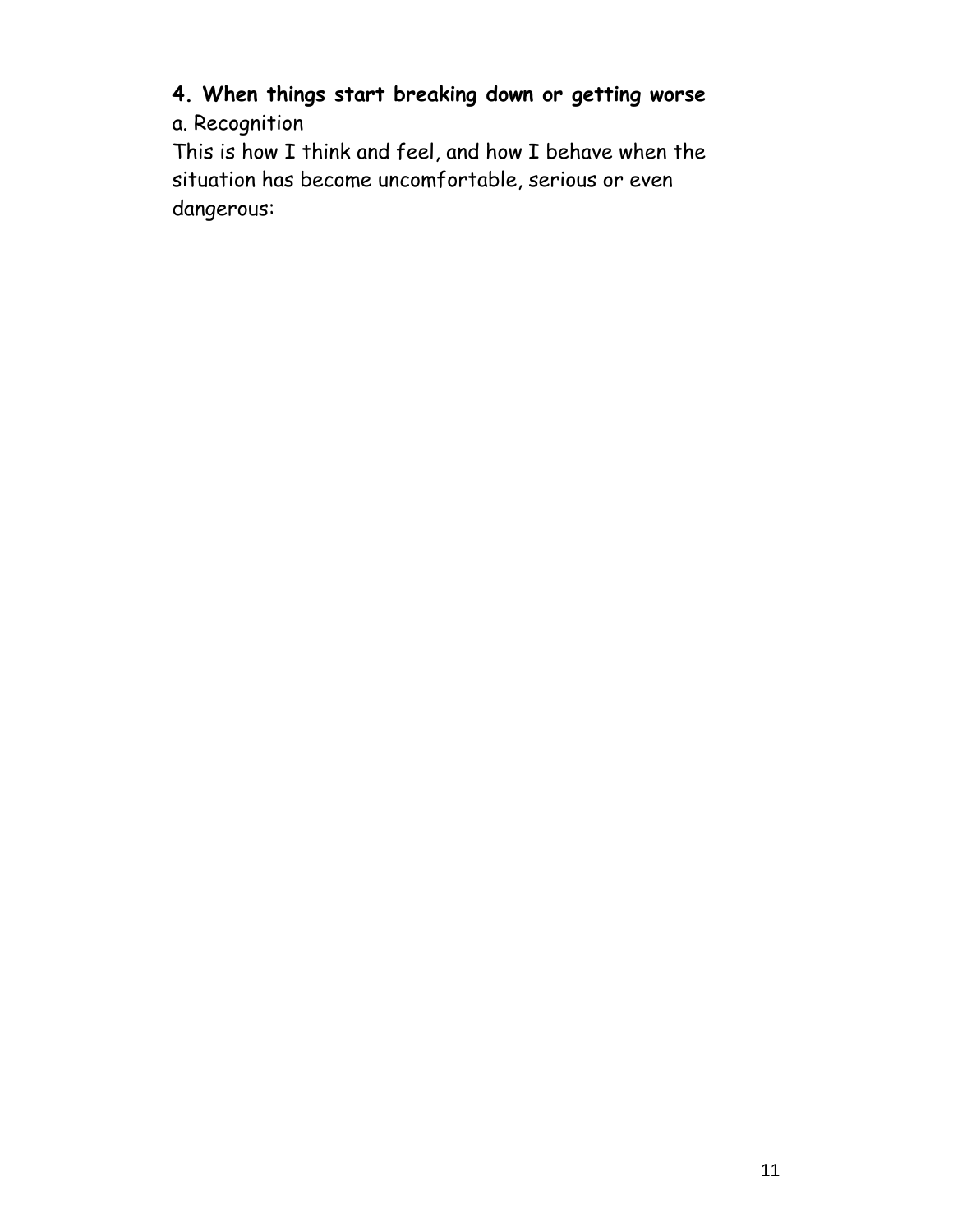## **4. When things start breaking down or getting worse**  a. Recognition

This is how I think and feel, and how I behave when the situation has become uncomfortable, serious or even dangerous: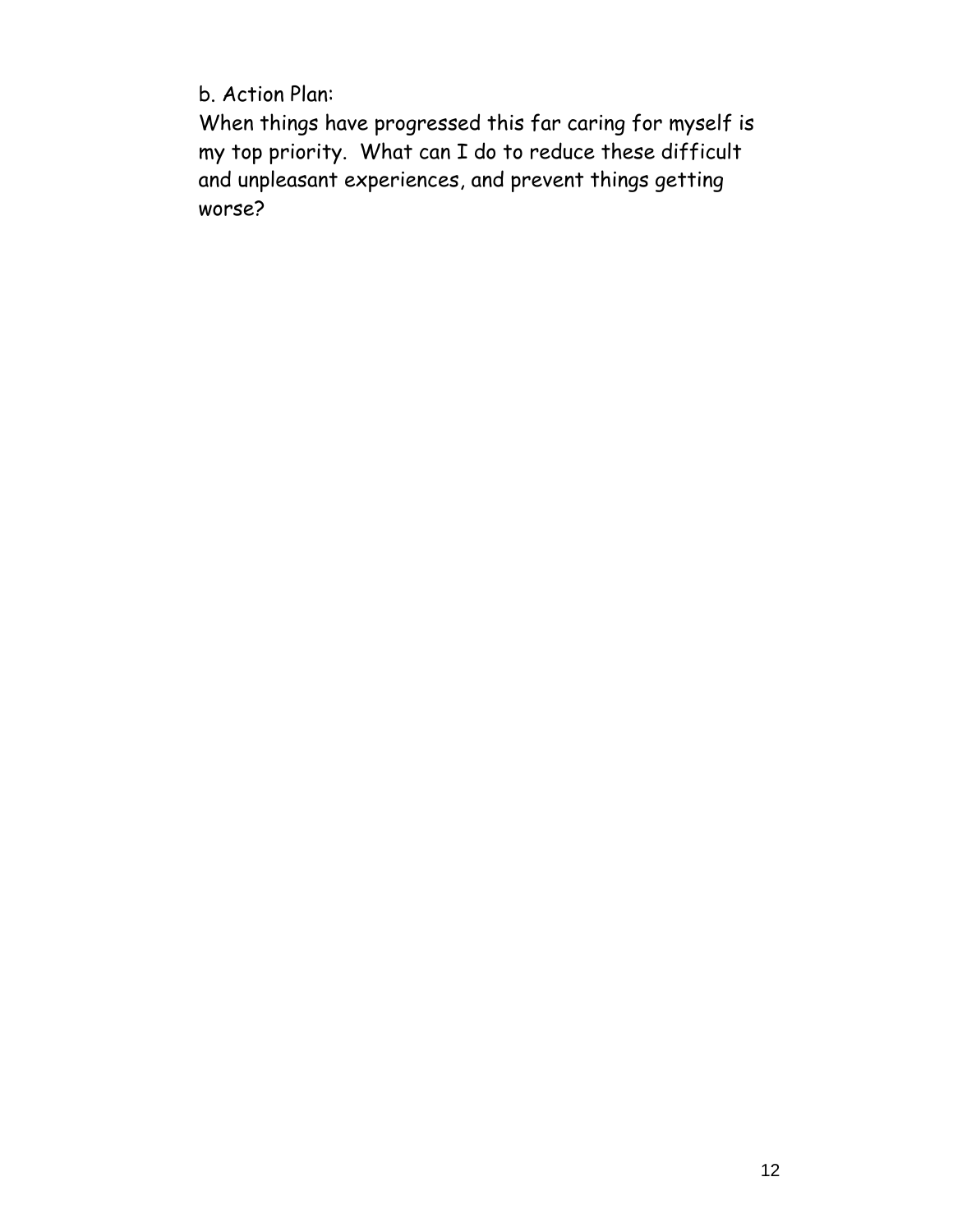b. Action Plan:

When things have progressed this far caring for myself is my top priority. What can I do to reduce these difficult and unpleasant experiences, and prevent things getting worse?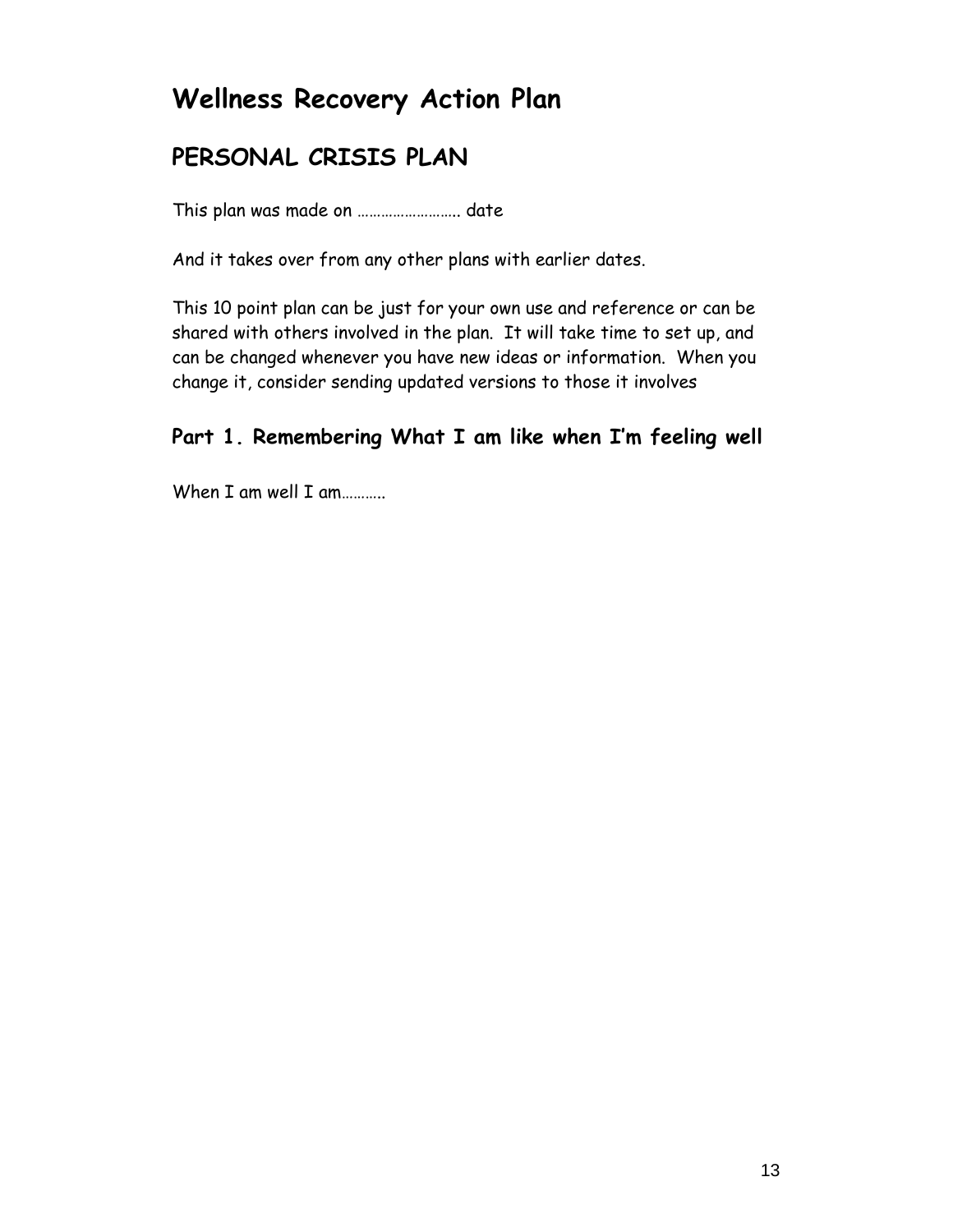# **Wellness Recovery Action Plan**

## **PERSONAL CRISIS PLAN**

This plan was made on …………………….. date

And it takes over from any other plans with earlier dates.

This 10 point plan can be just for your own use and reference or can be shared with others involved in the plan. It will take time to set up, and can be changed whenever you have new ideas or information. When you change it, consider sending updated versions to those it involves

#### **Part 1. Remembering What I am like when I'm feeling well**

When I am well I am ..........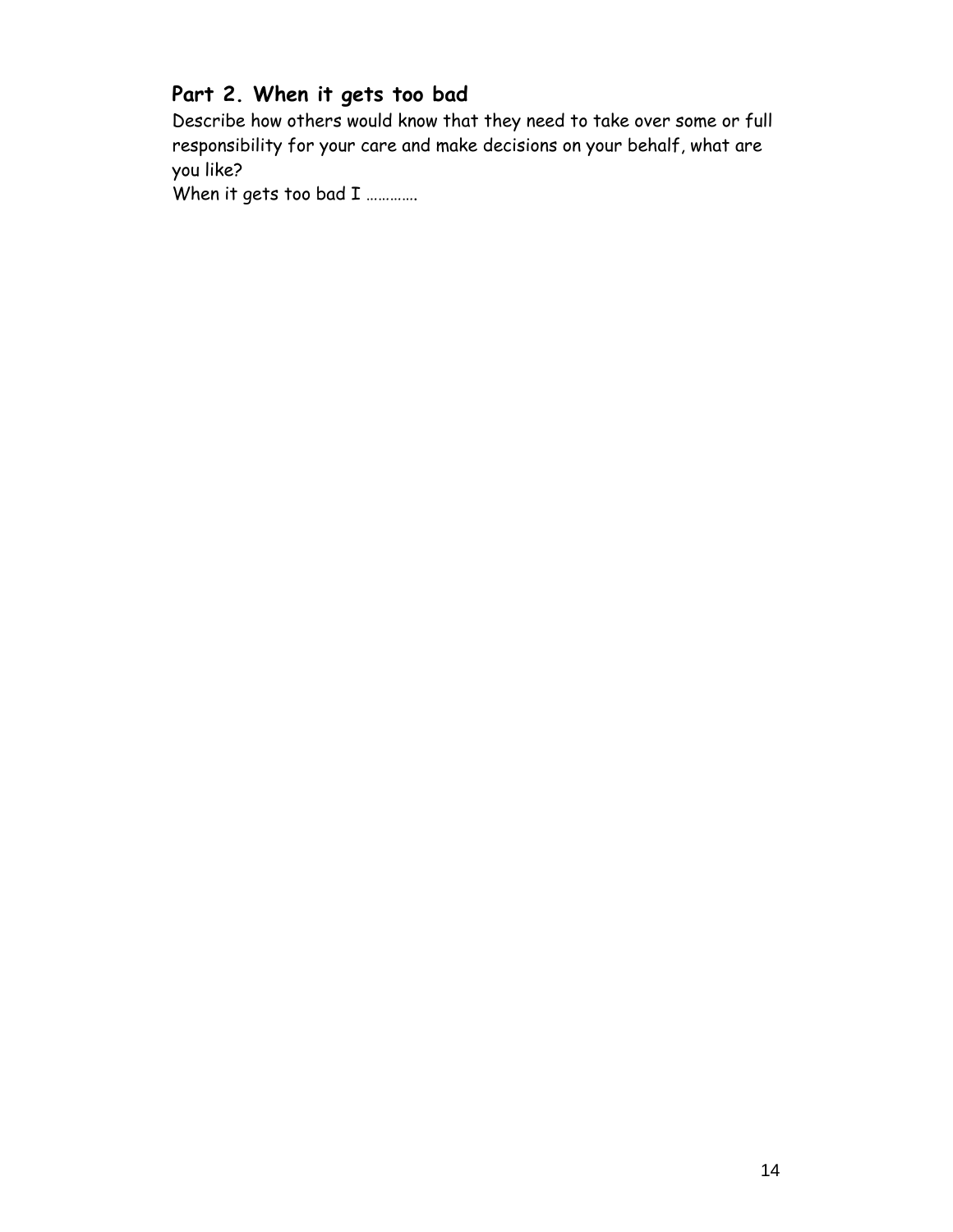#### **Part 2. When it gets too bad**

Describe how others would know that they need to take over some or full responsibility for your care and make decisions on your behalf, what are you like?

When it gets too bad I .............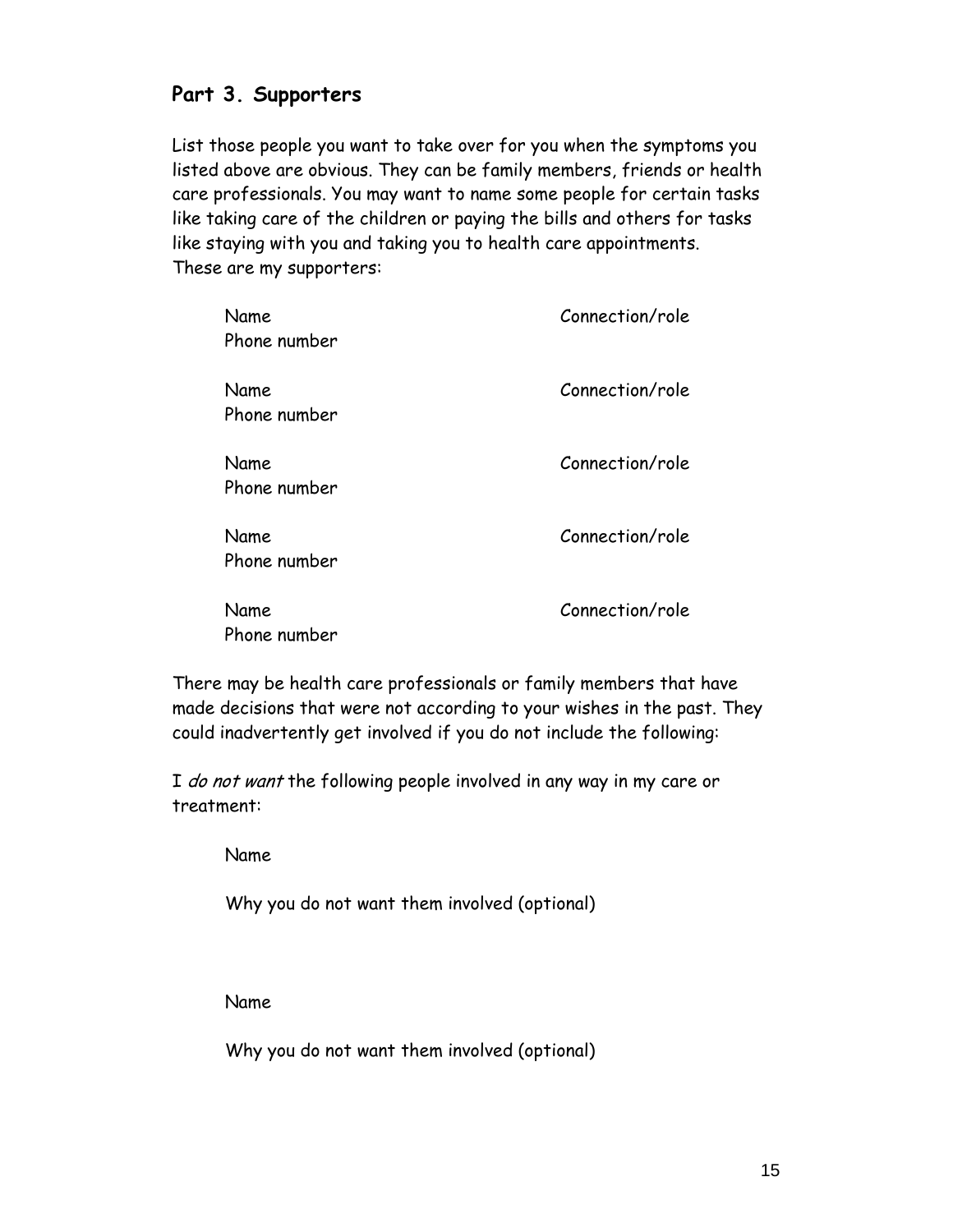#### **Part 3. Supporters**

List those people you want to take over for you when the symptoms you listed above are obvious. They can be family members, friends or health care professionals. You may want to name some people for certain tasks like taking care of the children or paying the bills and others for tasks like staying with you and taking you to health care appointments. These are my supporters:

| Name<br>Phone number | Connection/role |
|----------------------|-----------------|
| Name<br>Phone number | Connection/role |
| Name<br>Phone number | Connection/role |
| Name<br>Phone number | Connection/role |
| Name<br>Phone number | Connection/role |

There may be health care professionals or family members that have made decisions that were not according to your wishes in the past. They could inadvertently get involved if you do not include the following:

I do not want the following people involved in any way in my care or treatment:

Name

Why you do not want them involved (optional)

Name

Why you do not want them involved (optional)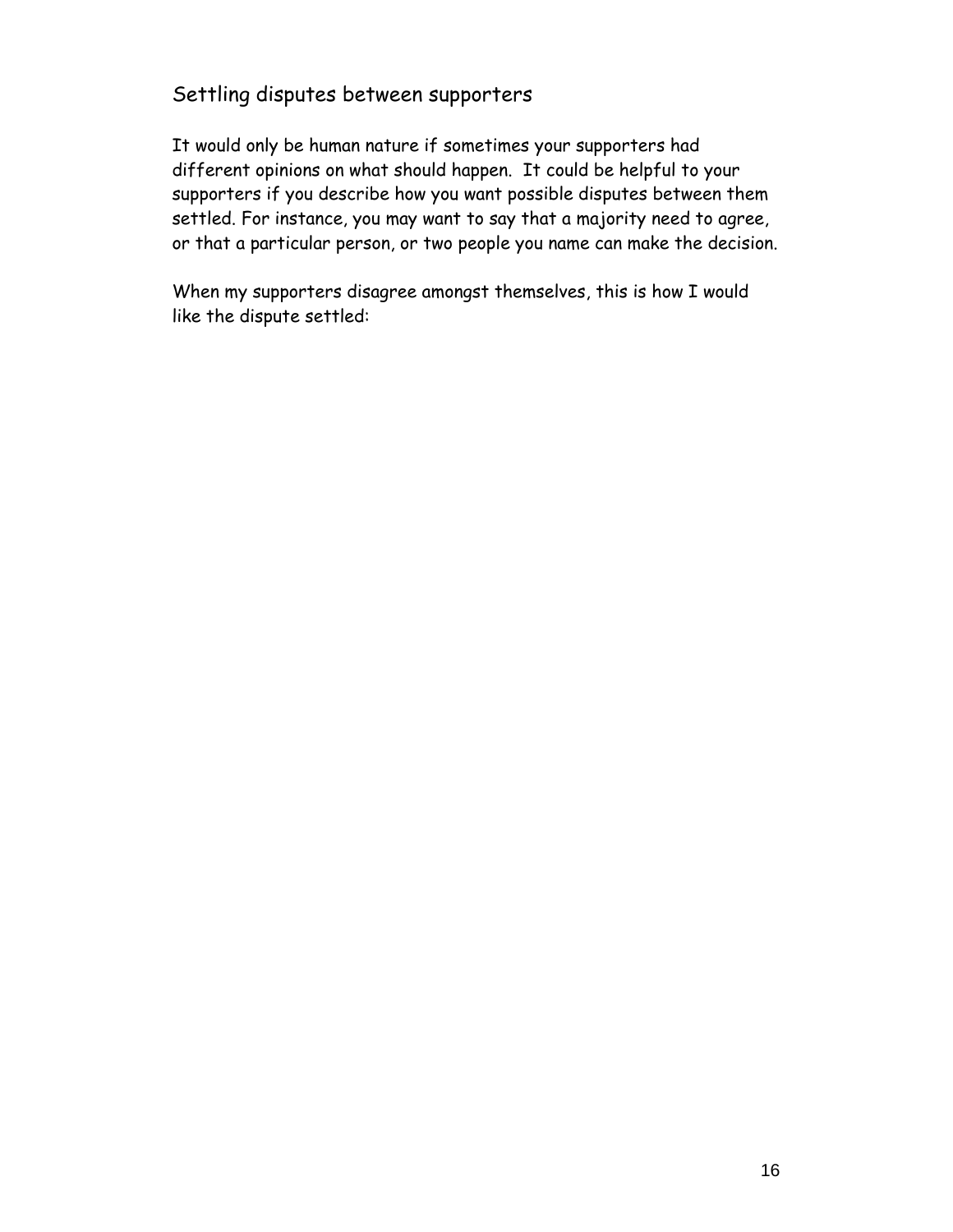#### Settling disputes between supporters

It would only be human nature if sometimes your supporters had different opinions on what should happen. It could be helpful to your supporters if you describe how you want possible disputes between them settled. For instance, you may want to say that a majority need to agree, or that a particular person, or two people you name can make the decision.

When my supporters disagree amongst themselves, this is how I would like the dispute settled: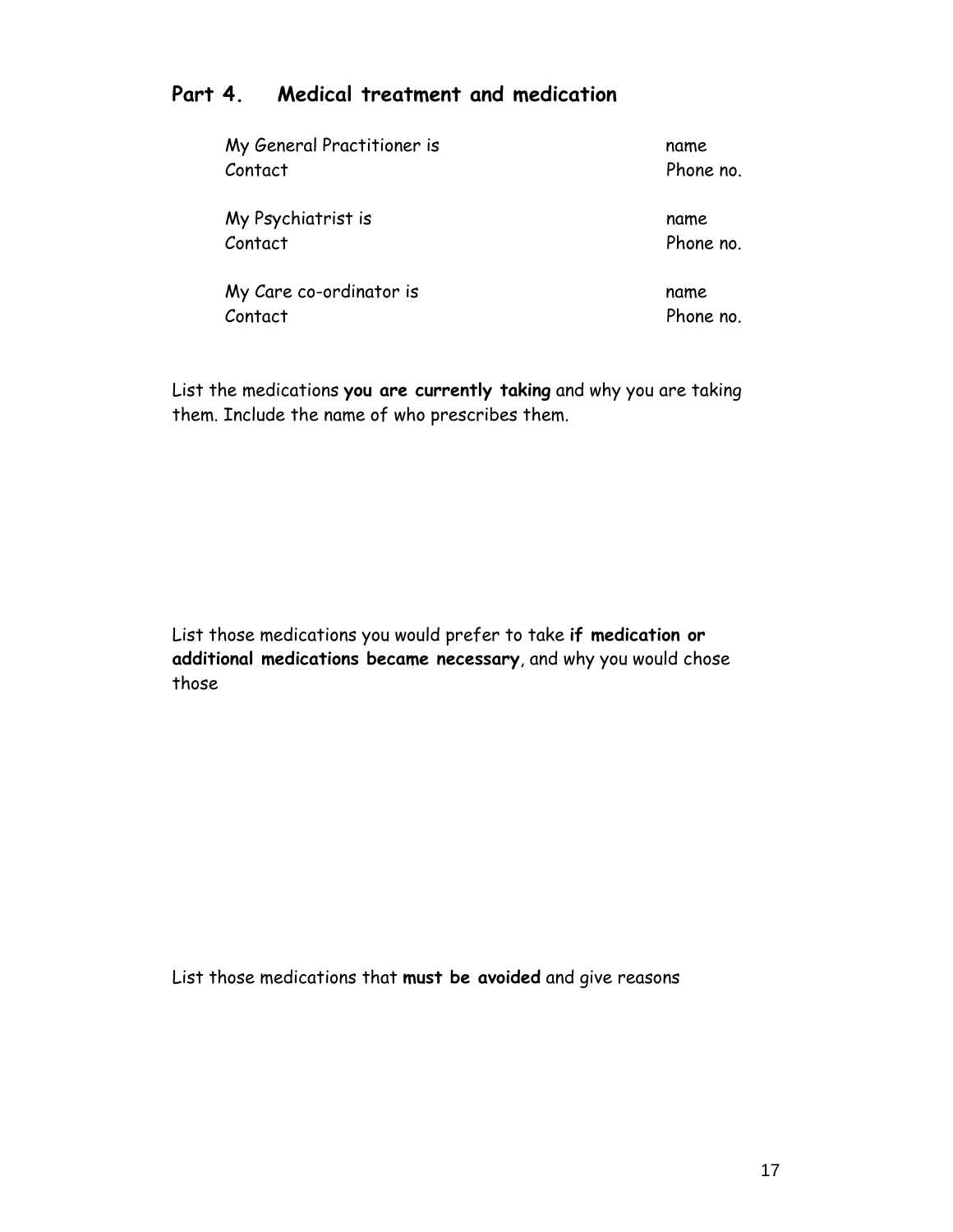#### **Part 4. Medical treatment and medication**

| My General Practitioner is | name      |
|----------------------------|-----------|
| Contact                    | Phone no. |
| My Psychiatrist is         | name      |
| Contact                    | Phone no. |
| My Care co-ordinator is    | name      |
| Contact                    | Phone no. |

List the medications **you are currently taking** and why you are taking them. Include the name of who prescribes them.

List those medications you would prefer to take **if medication or additional medications became necessary**, and why you would chose those

List those medications that **must be avoided** and give reasons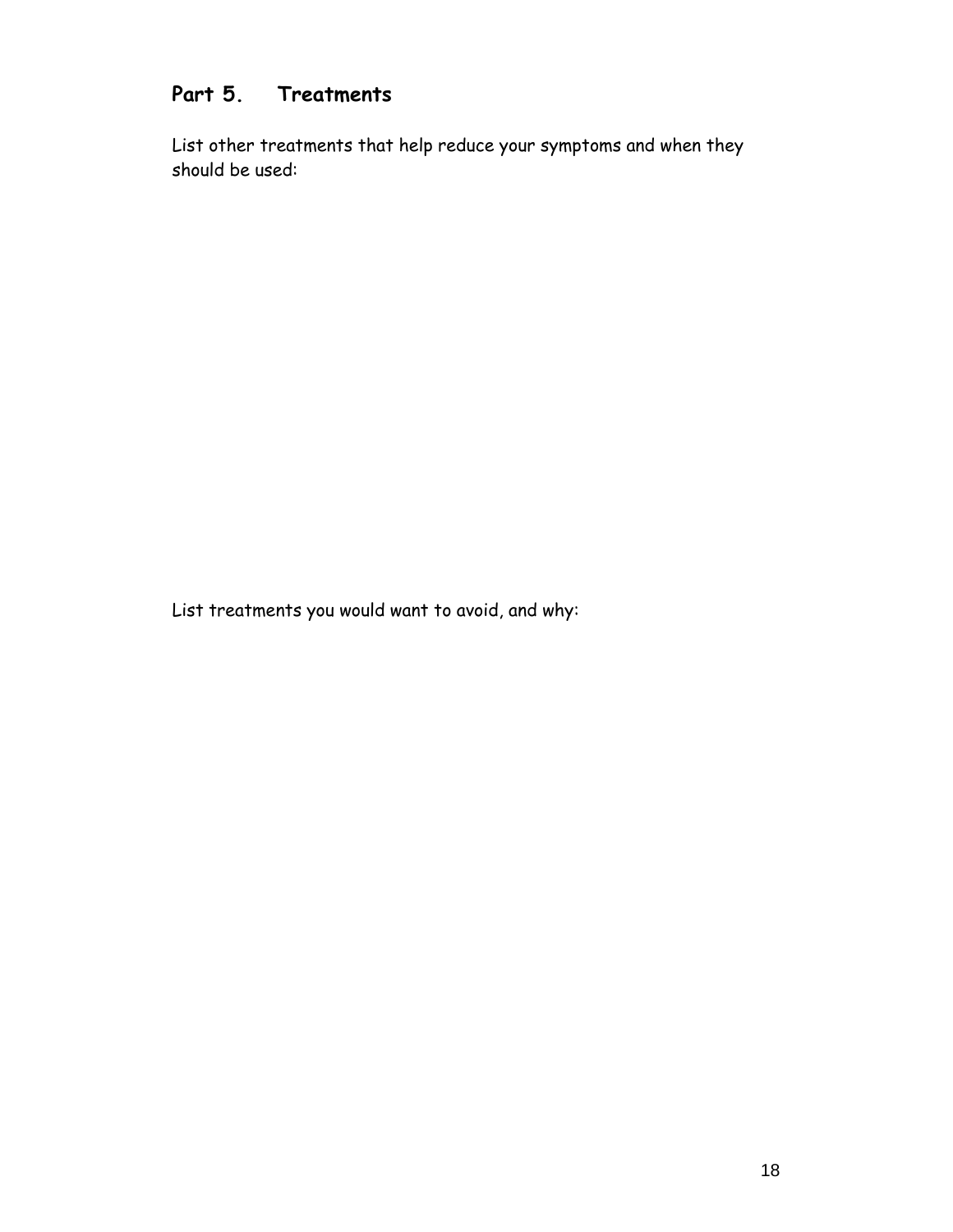### **Part 5. Treatments**

List other treatments that help reduce your symptoms and when they should be used:

List treatments you would want to avoid, and why: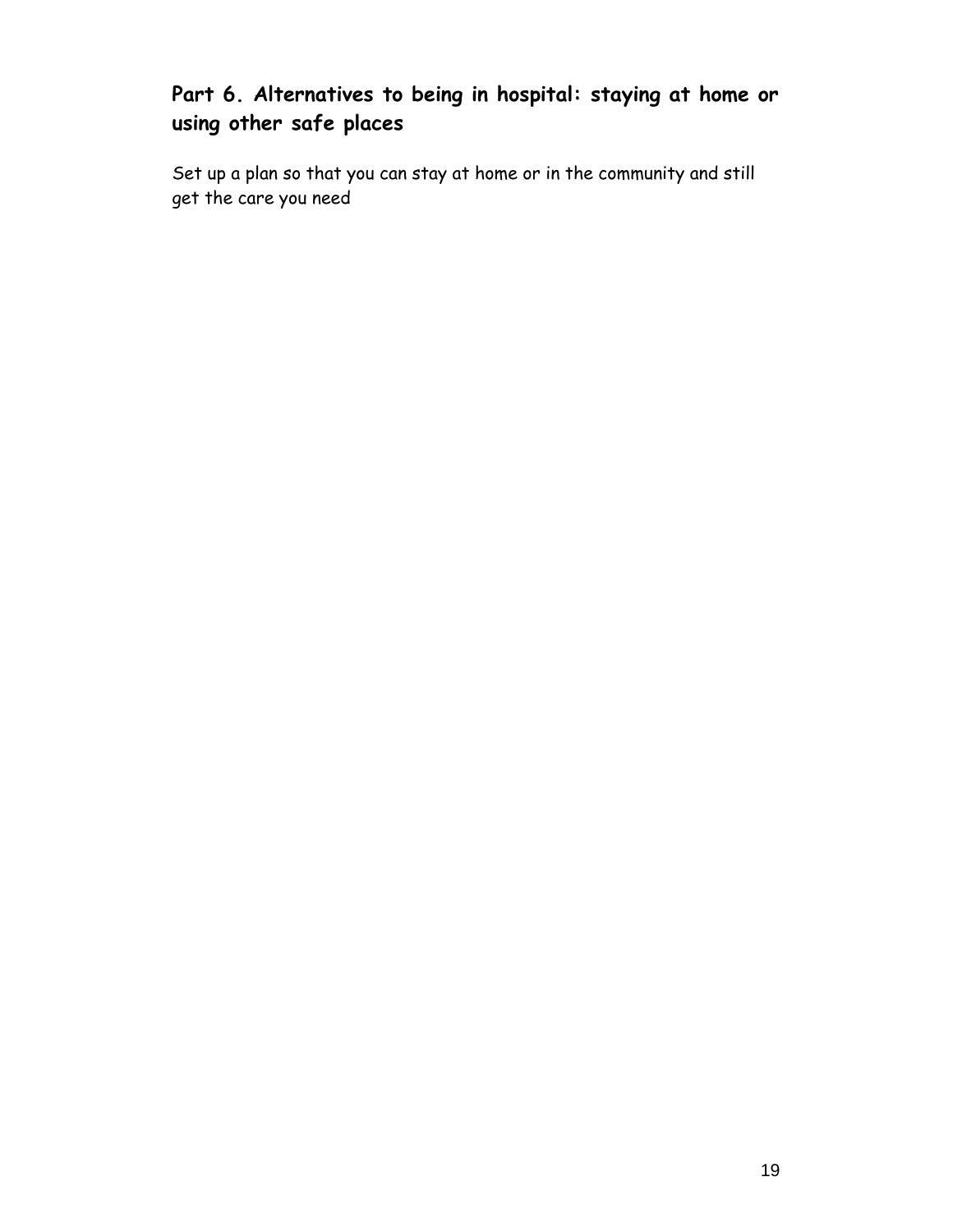## **Part 6. Alternatives to being in hospital: staying at home or using other safe places**

Set up a plan so that you can stay at home or in the community and still get the care you need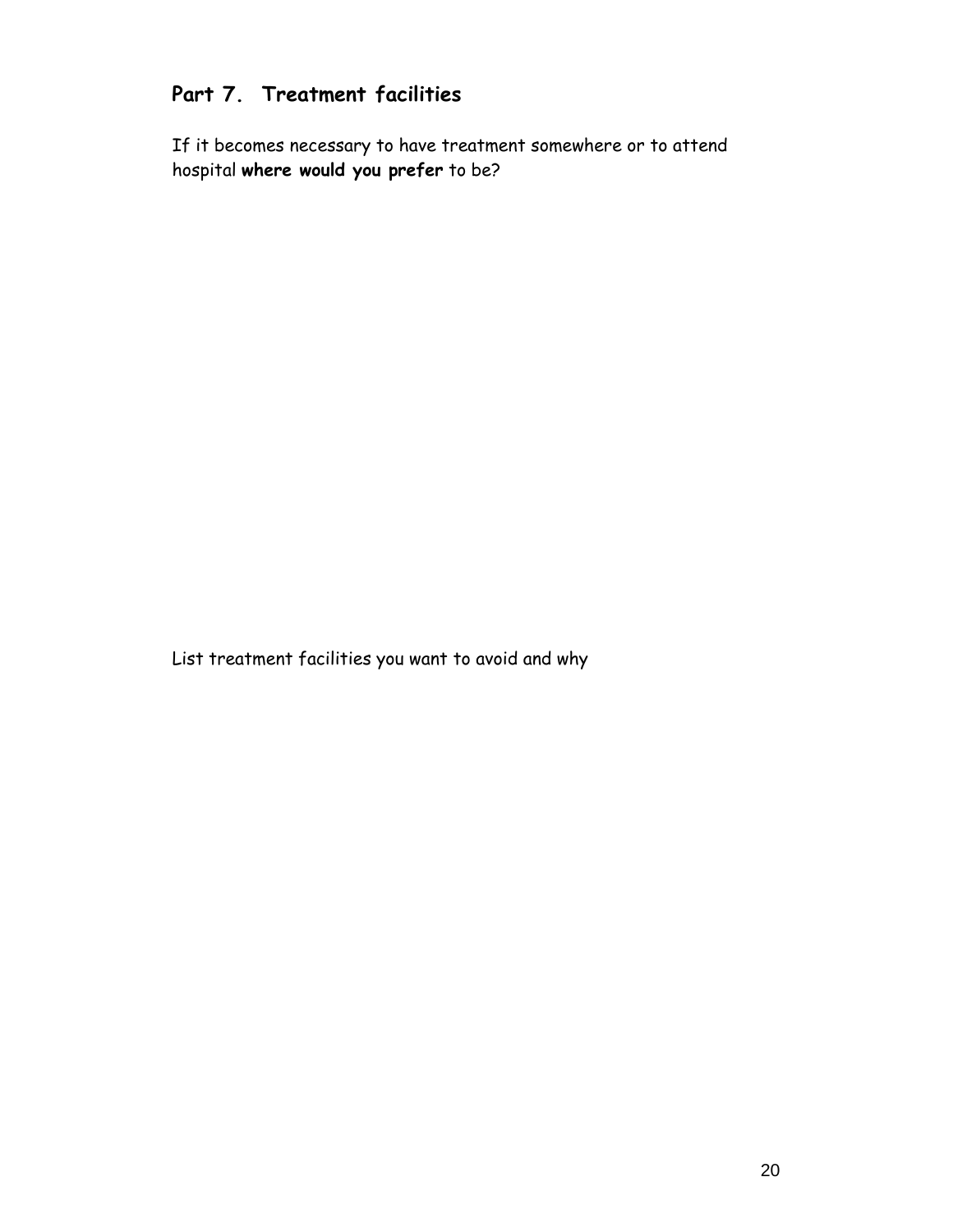### **Part 7. Treatment facilities**

If it becomes necessary to have treatment somewhere or to attend hospital **where would you prefer** to be?

List treatment facilities you want to avoid and why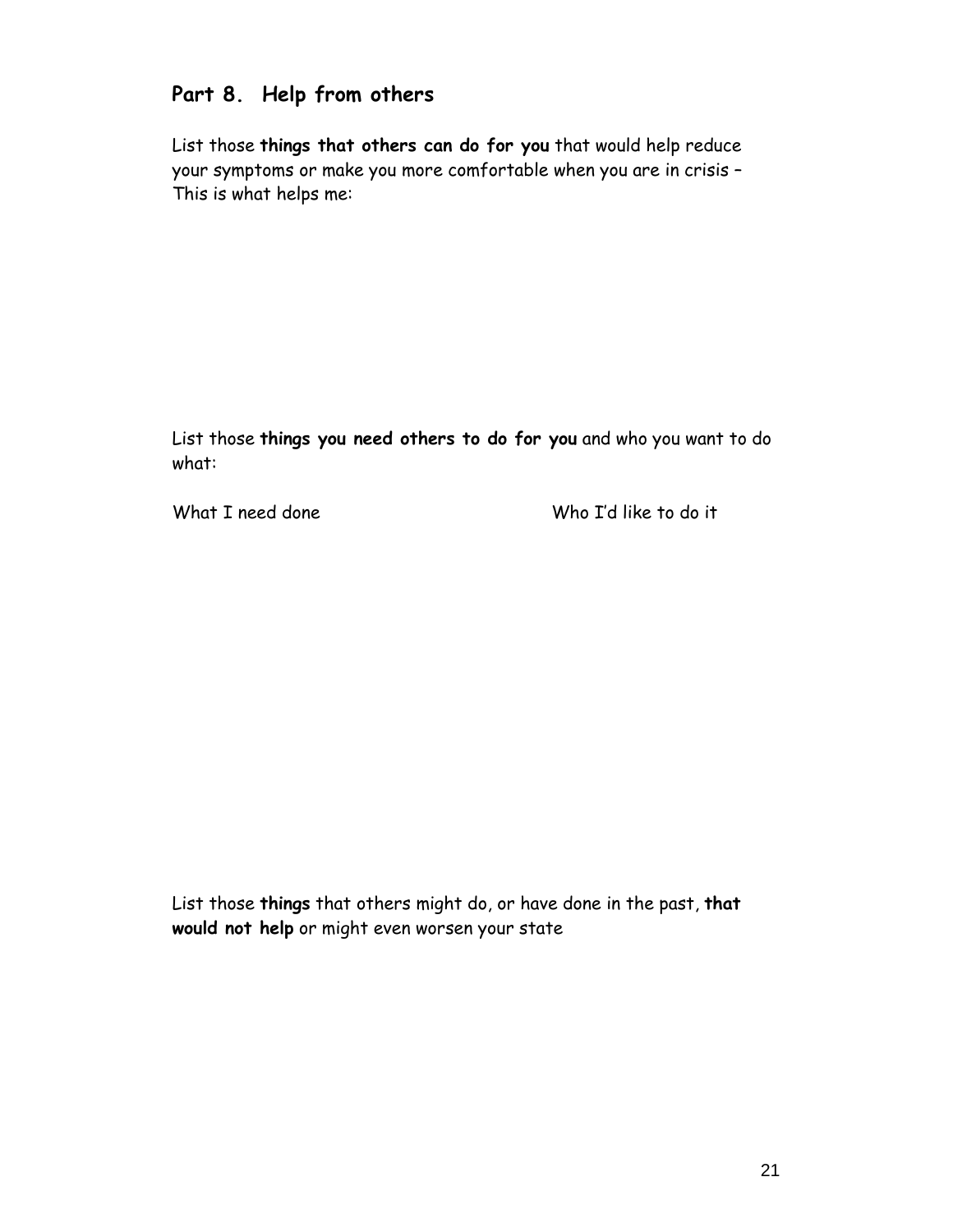#### **Part 8. Help from others**

List those **things that others can do for you** that would help reduce your symptoms or make you more comfortable when you are in crisis – This is what helps me:

List those **things you need others to do for you** and who you want to do what:

What I need done Who I'd like to do it

List those **things** that others might do, or have done in the past, **that would not help** or might even worsen your state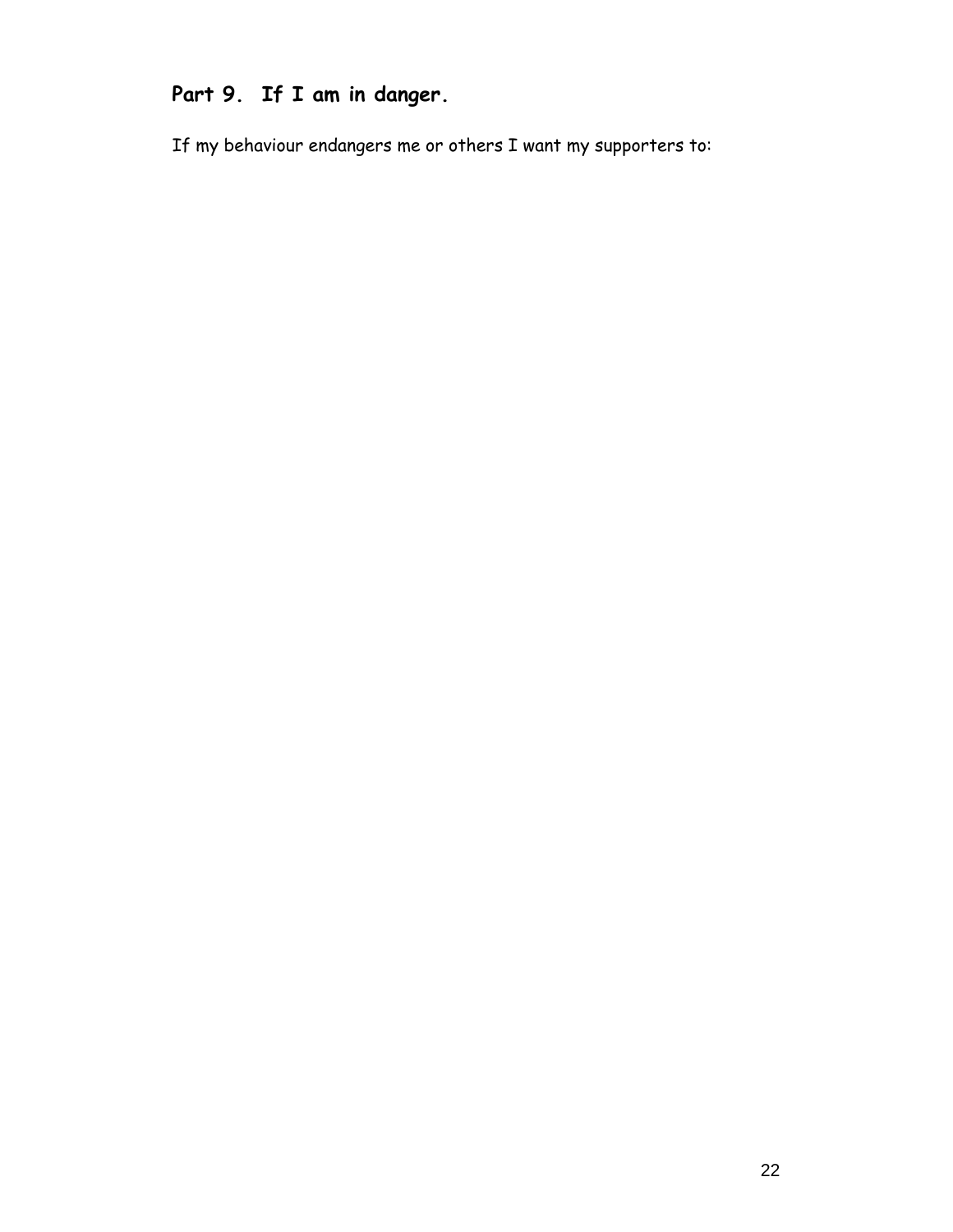# **Part 9. If I am in danger.**

If my behaviour endangers me or others I want my supporters to: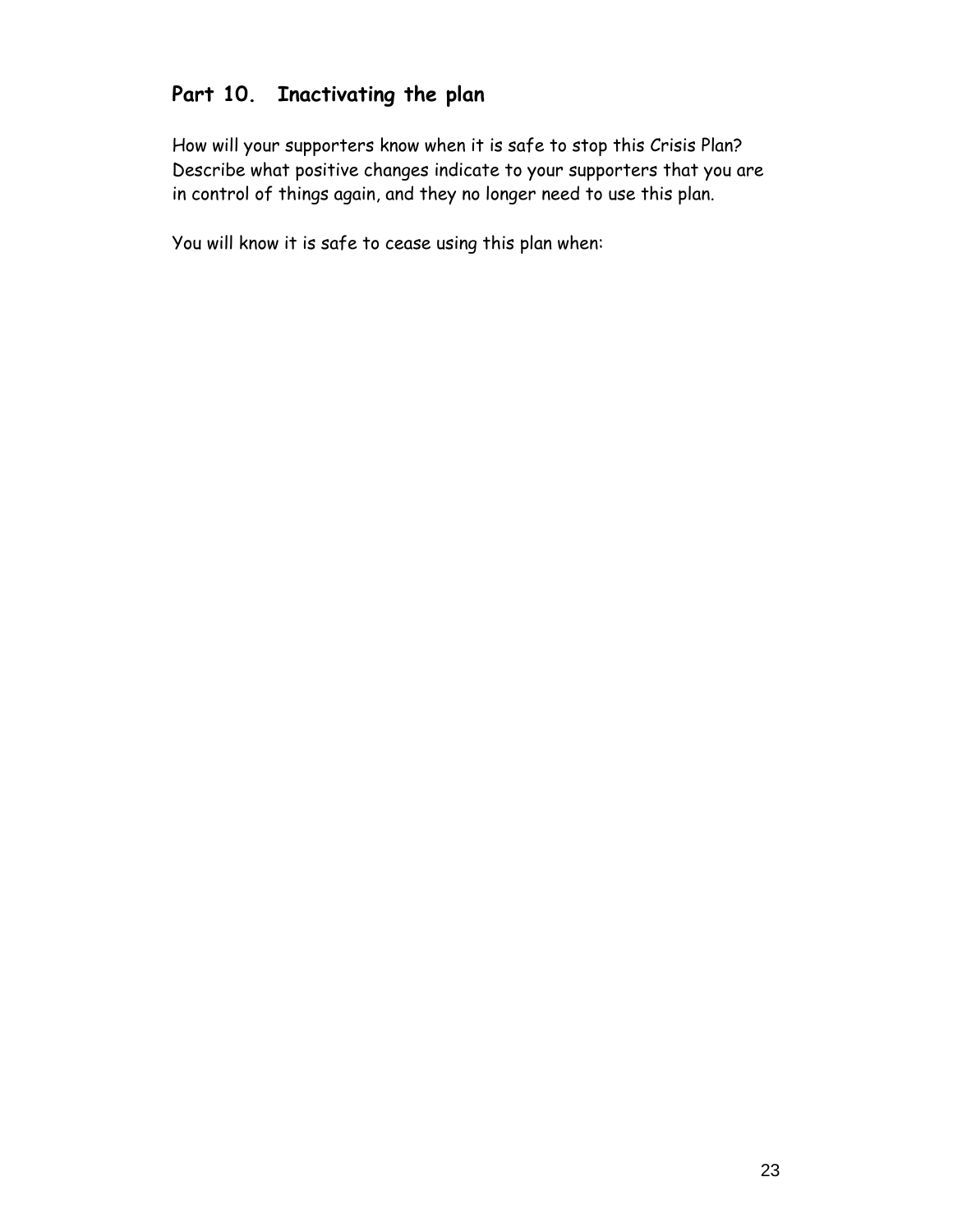## **Part 10. Inactivating the plan**

How will your supporters know when it is safe to stop this Crisis Plan? Describe what positive changes indicate to your supporters that you are in control of things again, and they no longer need to use this plan.

You will know it is safe to cease using this plan when: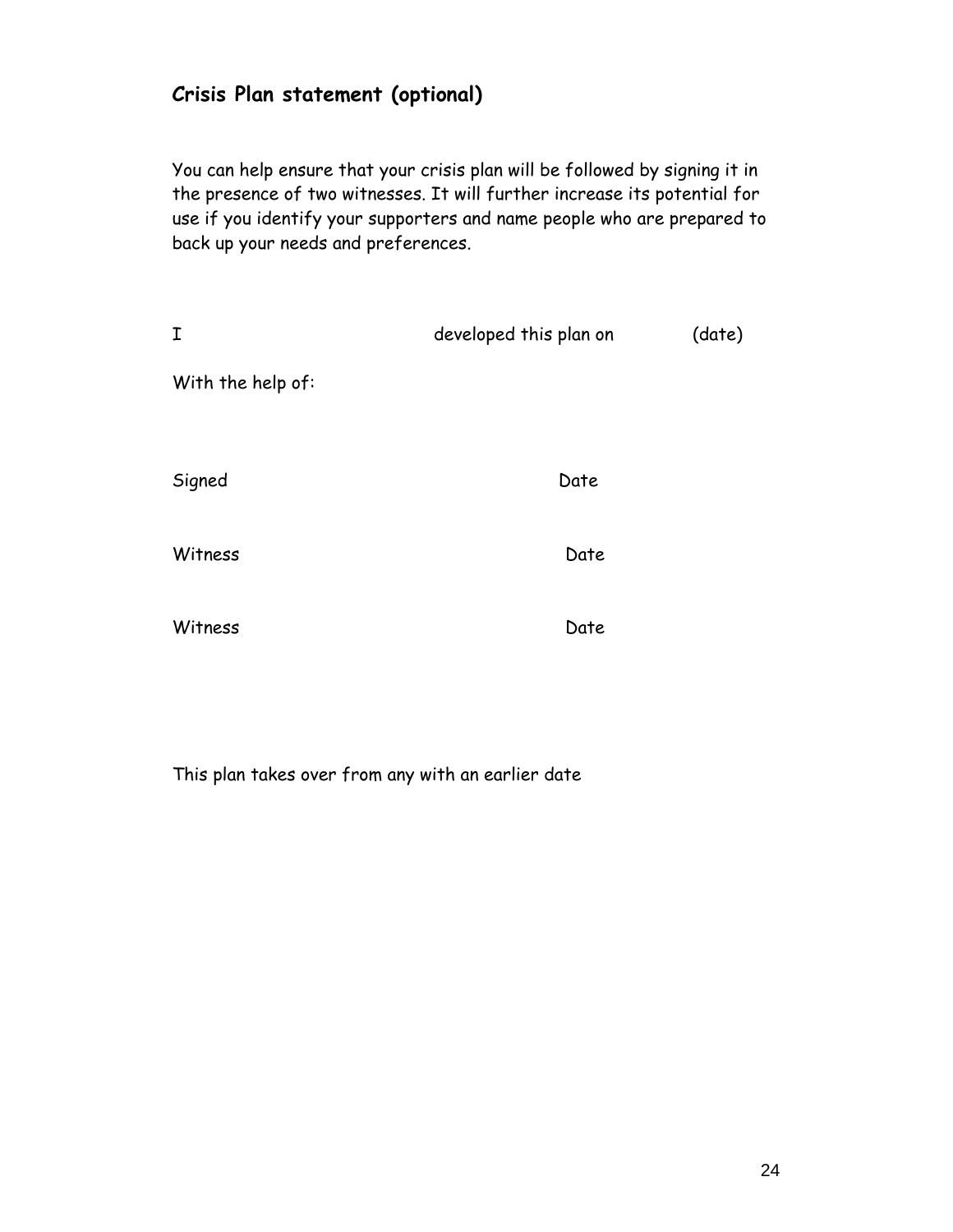#### **Crisis Plan statement (optional)**

You can help ensure that your crisis plan will be followed by signing it in the presence of two witnesses. It will further increase its potential for use if you identify your supporters and name people who are prepared to back up your needs and preferences.

| Ι                 | developed this plan on | (date) |
|-------------------|------------------------|--------|
| With the help of: |                        |        |
|                   |                        |        |
| Signed            | Date                   |        |
| Witness           | Date                   |        |
| Witness           | Date                   |        |

This plan takes over from any with an earlier date